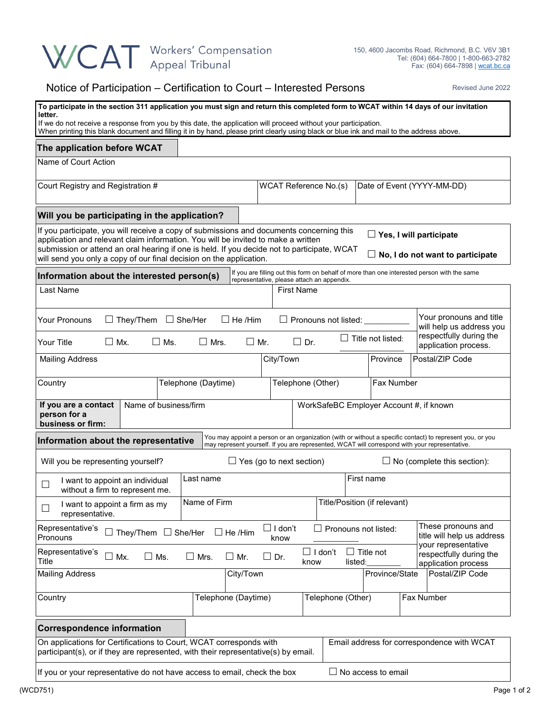## WCAT Workers' Compensation

## Notice of Participation – Certification to Court – Interested Persons Revised June 2022

| To participate in the section 311 application you must sign and return this completed form to WCAT within 14 days of our invitation<br>letter.<br>If we do not receive a response from you by this date, the application will proceed without your participation.<br>When printing this blank document and filling it in by hand, please print clearly using black or blue ink and mail to the address above.                    |                                                |                                            |                                             |                          |                            |                                                                                             |  |
|----------------------------------------------------------------------------------------------------------------------------------------------------------------------------------------------------------------------------------------------------------------------------------------------------------------------------------------------------------------------------------------------------------------------------------|------------------------------------------------|--------------------------------------------|---------------------------------------------|--------------------------|----------------------------|---------------------------------------------------------------------------------------------|--|
| The application before WCAT                                                                                                                                                                                                                                                                                                                                                                                                      |                                                |                                            |                                             |                          |                            |                                                                                             |  |
| Name of Court Action                                                                                                                                                                                                                                                                                                                                                                                                             |                                                |                                            |                                             |                          |                            |                                                                                             |  |
| Court Registry and Registration #                                                                                                                                                                                                                                                                                                                                                                                                |                                                | WCAT Reference No.(s)                      |                                             |                          | Date of Event (YYYY-MM-DD) |                                                                                             |  |
| Will you be participating in the application?                                                                                                                                                                                                                                                                                                                                                                                    |                                                |                                            |                                             |                          |                            |                                                                                             |  |
| If you participate, you will receive a copy of submissions and documents concerning this<br>$\Box$ Yes, I will participate<br>application and relevant claim information. You will be invited to make a written<br>submission or attend an oral hearing if one is held. If you decide not to participate, WCAT<br>$\Box$ No, I do not want to participate<br>will send you only a copy of our final decision on the application. |                                                |                                            |                                             |                          |                            |                                                                                             |  |
| Information about the interested person(s)                                                                                                                                                                                                                                                                                                                                                                                       |                                                | representative, please attach an appendix. |                                             |                          |                            | If you are filling out this form on behalf of more than one interested person with the same |  |
| Last Name                                                                                                                                                                                                                                                                                                                                                                                                                        |                                                | <b>First Name</b>                          |                                             |                          |                            |                                                                                             |  |
| $\Box$ They/Them $\Box$ She/Her<br><b>Your Pronouns</b><br>Your Title<br>$\square$ Mx.<br>$\square$ Ms.                                                                                                                                                                                                                                                                                                                          | $\Box$ He /Him<br>$\square$ Mrs.<br>$\Box$ Mr. | $\Box$ Dr.                                 | $\Box$ Pronouns not listed: $\Box$          | $\Box$ Title not listed: |                            | Your pronouns and title<br>will help us address you<br>respectfully during the              |  |
|                                                                                                                                                                                                                                                                                                                                                                                                                                  |                                                | City/Town                                  |                                             | Province                 |                            | application process.<br>Postal/ZIP Code                                                     |  |
| <b>Mailing Address</b>                                                                                                                                                                                                                                                                                                                                                                                                           |                                                |                                            |                                             |                          |                            |                                                                                             |  |
| Country                                                                                                                                                                                                                                                                                                                                                                                                                          | Telephone (Daytime)                            | Telephone (Other)                          |                                             | Fax Number               |                            |                                                                                             |  |
| Name of business/firm<br>If you are a contact<br>WorkSafeBC Employer Account #, if known<br>person for a<br>business or firm:                                                                                                                                                                                                                                                                                                    |                                                |                                            |                                             |                          |                            |                                                                                             |  |
| You may appoint a person or an organization (with or without a specific contact) to represent you, or you<br>Information about the representative<br>may represent yourself. If you are represented, WCAT will correspond with your representative.                                                                                                                                                                              |                                                |                                            |                                             |                          |                            |                                                                                             |  |
| Will you be representing yourself?<br>$\Box$ Yes (go to next section)<br>No (complete this section):                                                                                                                                                                                                                                                                                                                             |                                                |                                            |                                             |                          |                            |                                                                                             |  |
| I want to appoint an individual                                                                                                                                                                                                                                                                                                                                                                                                  | Last name                                      | First name                                 |                                             |                          |                            |                                                                                             |  |
| without a firm to represent me.<br>I want to appoint a firm as my                                                                                                                                                                                                                                                                                                                                                                | Name of Firm                                   |                                            | Title/Position (if relevant)                |                          |                            |                                                                                             |  |
| $\Box$<br>representative.                                                                                                                                                                                                                                                                                                                                                                                                        |                                                |                                            |                                             |                          |                            |                                                                                             |  |
| These pronouns and<br>Representative's<br>$\Box$ I don't<br>Pronouns not listed:<br>$\Box$ They/Them $\Box$ She/Her<br>$\Box$ He /Him<br>Pronouns<br>know                                                                                                                                                                                                                                                                        |                                                |                                            |                                             |                          |                            | title will help us address<br>your representative                                           |  |
| Representative's<br>Mx.<br>$\square$ Ms.<br>Title                                                                                                                                                                                                                                                                                                                                                                                | $\Box$<br>Mrs.<br>$\Box$ Mr.                   | $\square$ Dr.                              | $\Box$<br>$\Box$ I don't<br>listed:<br>know | Title not                |                            | respectfully during the<br>application process                                              |  |
| <b>Mailing Address</b>                                                                                                                                                                                                                                                                                                                                                                                                           | City/Town                                      |                                            |                                             | Province/State           |                            | Postal/ZIP Code                                                                             |  |
| Country                                                                                                                                                                                                                                                                                                                                                                                                                          | Telephone (Daytime)                            |                                            | Telephone (Other)                           |                          |                            | Fax Number                                                                                  |  |
| <b>Correspondence information</b>                                                                                                                                                                                                                                                                                                                                                                                                |                                                |                                            |                                             |                          |                            |                                                                                             |  |
| On applications for Certifications to Court, WCAT corresponds with<br>Email address for correspondence with WCAT<br>participant(s), or if they are represented, with their representative(s) by email.                                                                                                                                                                                                                           |                                                |                                            |                                             |                          |                            |                                                                                             |  |
| If you or your representative do not have access to email, check the box<br>$\Box$ No access to email                                                                                                                                                                                                                                                                                                                            |                                                |                                            |                                             |                          |                            |                                                                                             |  |